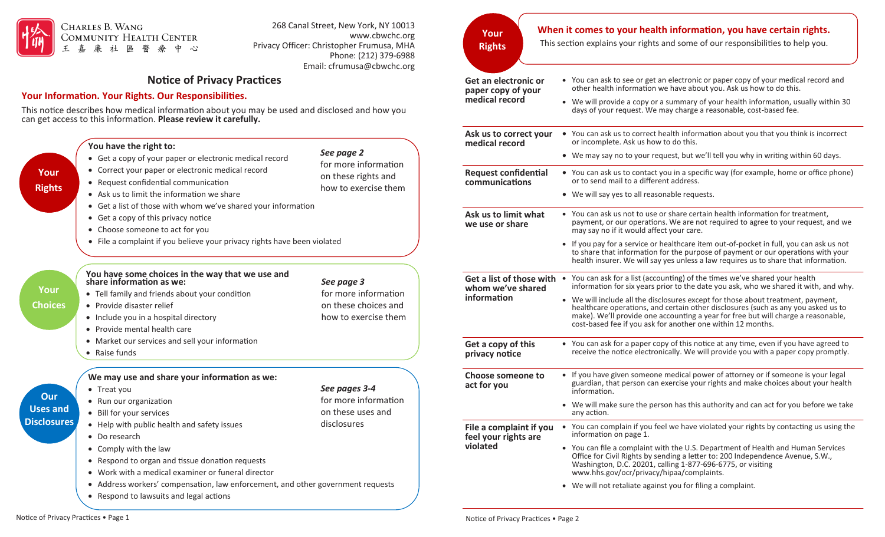

## 268 Canal Street, New York, NY 10013 www.cbwchc.org Privacy Officer: Christopher Frumusa, MHA Phone: (212) 379-6988 Email: cfrumusa[@cbwchc.org](mailto:cfrumusa@cbwchc.org)

## **Notice of Privacy Practices**

## **Your Information. Your Rights. Our Responsibilities.**

This notice describes how medical information about you may be used and disclosed and how you can get access to this information. **Please review it carefully.**

| Your<br><b>Rights</b>                        | You have the right to:<br>• Get a copy of your paper or electronic medical record<br>• Correct your paper or electronic medical record<br>• Request confidential communication<br>• Ask us to limit the information we share<br>• Get a list of those with whom we've shared your information<br>• Get a copy of this privacy notice<br>• Choose someone to act for you<br>• File a complaint if you believe your privacy rights have been violated | See page 2<br>for more information<br>on these rights and<br>how to exercise them  | medical record<br><b>Request confidential</b><br>communications<br>Ask us to limit what<br>we use or share | or incomplete. Ask us how to do t<br>• We may say no to your request, b<br>• You can ask us to contact you in a<br>or to send mail to a different addr<br>• We will say yes to all reasonable r<br>• You can ask us not to use or share<br>payment, or our operations. We a<br>may say no if it would affect your<br>• If you pay for a service or healthca<br>to share that information for the<br>health insurer. We will say yes un |
|----------------------------------------------|-----------------------------------------------------------------------------------------------------------------------------------------------------------------------------------------------------------------------------------------------------------------------------------------------------------------------------------------------------------------------------------------------------------------------------------------------------|------------------------------------------------------------------------------------|------------------------------------------------------------------------------------------------------------|----------------------------------------------------------------------------------------------------------------------------------------------------------------------------------------------------------------------------------------------------------------------------------------------------------------------------------------------------------------------------------------------------------------------------------------|
| Your<br><b>Choices</b>                       | You have some choices in the way that we use and<br>share information as we:<br>• Tell family and friends about your condition<br>• Provide disaster relief<br>• Include you in a hospital directory<br>• Provide mental health care<br>• Market our services and sell your information<br>• Raise funds                                                                                                                                            | See page 3<br>for more information<br>on these choices and<br>how to exercise them | Get a list of those with<br>whom we've shared<br>information<br>Get a copy of this<br>privacy notice       | You can ask for a list (accounting)<br>$\bullet$<br>information for six years prior to t<br>• We will include all the disclosures<br>healthcare operations, and certain<br>make). We'll provide one account<br>cost-based fee if you ask for anotl<br>• You can ask for a paper copy of th<br>receive the notice electronically.                                                                                                       |
| Our<br><b>Uses and</b><br><b>Disclosures</b> | We may use and share your information as we:<br>• Treat you<br>• Run our organization<br>• Bill for your services<br>• Help with public health and safety issues<br>• Do research<br>• Comply with the law<br>• Respond to organ and tissue donation requests<br>• Work with a medical examiner or funeral director<br>• Address workers' compensation, law enforcement, and other government requests<br>• Respond to lawsuits and legal actions   | See pages 3-4<br>for more information<br>on these uses and<br>disclosures          | <b>Choose someone to</b><br>act for you<br>File a complaint if you<br>feel your rights are<br>violated     | • If you have given someone medic<br>guardian, that person can exercise<br>information.<br>• We will make sure the person has<br>any action.<br>You can complain if you feel we h<br>information on page 1.<br>• You can file a complaint with the<br>Office for Civil Rights by sending a<br>Washington, D.C. 20201, calling 1<br>www.hhs.gov/ocr/privacy/hipaa/<br>• We will not retaliate against you f                             |

**Your Rights**

## ation, vou have certain rights When it comes to your health information, you have certain rights.

This section explains your rights and some of our responsibilities to help you.

| Get an electronic or<br>paper copy of your      | • You can ask to see or get an electronic or paper copy of your medical record and<br>other health information we have about you. Ask us how to do this.                                                                                                                                                                  |
|-------------------------------------------------|---------------------------------------------------------------------------------------------------------------------------------------------------------------------------------------------------------------------------------------------------------------------------------------------------------------------------|
| medical record                                  | • We will provide a copy or a summary of your health information, usually within 30<br>days of your request. We may charge a reasonable, cost-based fee.                                                                                                                                                                  |
| Ask us to correct your<br>medical record        | • You can ask us to correct health information about you that you think is incorrect<br>or incomplete. Ask us how to do this.                                                                                                                                                                                             |
|                                                 | • We may say no to your request, but we'll tell you why in writing within 60 days.                                                                                                                                                                                                                                        |
| <b>Request confidential</b><br>communications   | • You can ask us to contact you in a specific way (for example, home or office phone)<br>or to send mail to a different address.                                                                                                                                                                                          |
|                                                 | • We will say yes to all reasonable requests.                                                                                                                                                                                                                                                                             |
| Ask us to limit what<br>we use or share         | • You can ask us not to use or share certain health information for treatment,<br>payment, or our operations. We are not required to agree to your request, and we<br>may say no if it would affect your care.                                                                                                            |
|                                                 | • If you pay for a service or healthcare item out-of-pocket in full, you can ask us not<br>to share that information for the purpose of payment or our operations with your<br>health insurer. We will say yes unless a law requires us to share that information.                                                        |
| whom we've shared                               | Get a list of those with • You can ask for a list (accounting) of the times we've shared your health<br>information for six years prior to the date you ask, who we shared it with, and why.                                                                                                                              |
| information                                     | • We will include all the disclosures except for those about treatment, payment,<br>healthcare operations, and certain other disclosures (such as any you asked us to<br>make). We'll provide one accounting a year for free but will charge a reasonable,<br>cost-based fee if you ask for another one within 12 months. |
| Get a copy of this<br>privacy notice            | • You can ask for a paper copy of this notice at any time, even if you have agreed to<br>receive the notice electronically. We will provide you with a paper copy promptly.                                                                                                                                               |
| Choose someone to<br>act for you                | • If you have given someone medical power of attorney or if someone is your legal<br>guardian, that person can exercise your rights and make choices about your health<br>information.                                                                                                                                    |
|                                                 | • We will make sure the person has this authority and can act for you before we take<br>any action.                                                                                                                                                                                                                       |
| File a complaint if you<br>feel your rights are | • You can complain if you feel we have violated your rights by contacting us using the<br>information on page 1.                                                                                                                                                                                                          |
| violated                                        | • You can file a complaint with the U.S. Department of Health and Human Services<br>Office for Civil Rights by sending a letter to: 200 Independence Avenue, S.W.,<br>Washington, D.C. 20201, calling 1-877-696-6775, or visiting<br>www.hhs.gov/ocr/privacy/hipaa/complaints.                                            |
|                                                 | • We will not retaliate against you for filing a complaint.                                                                                                                                                                                                                                                               |